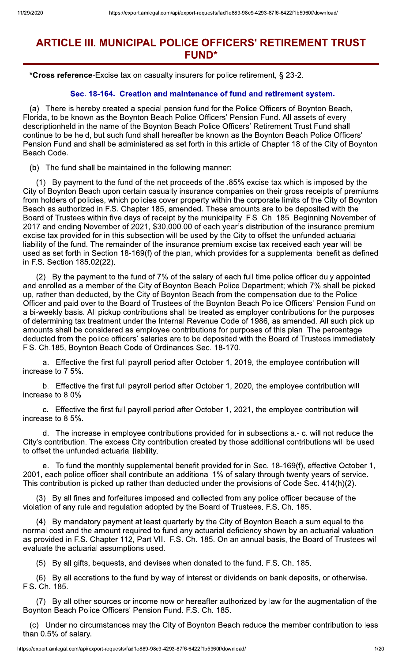# **ARTICLE III. MUNICIPAL POLICE OFFICERS' RETIREMENT TRUST FUND\***

\*Cross reference-Excise tax on casualty insurers for police retirement, § 23-2.

### Sec. 18-164. Creation and maintenance of fund and retirement system.

(a) There is hereby created a special pension fund for the Police Officers of Boynton Beach, Florida, to be known as the Boynton Beach Police Officers' Pension Fund. All assets of every descriptionheld in the name of the Boynton Beach Police Officers' Retirement Trust Fund shall continue to be held, but such fund shall hereafter be known as the Boynton Beach Police Officers' Pension Fund and shall be administered as set forth in this article of Chapter 18 of the City of Boynton Beach Code.

(b) The fund shall be maintained in the following manner:

By payment to the fund of the net proceeds of the .85% excise tax which is imposed by the City of Boynton Beach upon certain casualty insurance companies on their gross receipts of premiums from holders of policies, which policies cover property within the corporate limits of the City of Boynton Beach as authorized in F.S. Chapter 185, amended. These amounts are to be deposited with the Board of Trustees within five days of receipt by the municipality. F.S. Ch. 185. Beginning November of 2017 and ending November of 2021, \$30,000.00 of each year's distribution of the insurance premium excise tax provided for in this subsection will be used by the City to offset the unfunded actuarial liability of the fund. The remainder of the insurance premium excise tax received each year will be used as set forth in Section 18-169(f) of the plan, which provides for a supplemental benefit as defined in F.S. Section 185.02(22).

(2) By the payment to the fund of 7% of the salary of each full time police officer duly appointed and enrolled as a member of the City of Boynton Beach Police Department; which 7% shall be picked up, rather than deducted, by the City of Boynton Beach from the compensation due to the Police Officer and paid over to the Board of Trustees of the Boynton Beach Police Officers' Pension Fund on a bi-weekly basis. All pickup contributions shall be treated as employer contributions for the purposes of determining tax treatment under the Internal Revenue Code of 1986, as amended. All such pick up amounts shall be considered as employee contributions for purposes of this plan. The percentage deducted from the police officers' salaries are to be deposited with the Board of Trustees immediately. F.S. Ch.185, Boynton Beach Code of Ordinances Sec. 18-170.

Effective the first full payroll period after October 1, 2019, the employee contribution will a. increase to 7.5%.

b. Effective the first full payroll period after October 1, 2020, the employee contribution will increase to 8.0%.

c. Effective the first full payroll period after October 1, 2021, the employee contribution will increase to 8.5%.

d. The increase in employee contributions provided for in subsections a.- c. will not reduce the City's contribution. The excess City contribution created by those additional contributions will be used to offset the unfunded actuarial liability.

To fund the monthly supplemental benefit provided for in Sec. 18-169(f), effective October 1, 2001, each police officer shall contribute an additional 1% of salary through twenty years of service. This contribution is picked up rather than deducted under the provisions of Code Sec. 414(h)(2).

(3) By all fines and forfeitures imposed and collected from any police officer because of the violation of any rule and regulation adopted by the Board of Trustees. F.S. Ch. 185.

(4) By mandatory payment at least quarterly by the City of Boynton Beach a sum equal to the normal cost and the amount required to fund any actuarial deficiency shown by an actuarial valuation as provided in F.S. Chapter 112, Part VII. F.S. Ch. 185. On an annual basis, the Board of Trustees will evaluate the actuarial assumptions used.

(5) By all gifts, bequests, and devises when donated to the fund. F.S. Ch. 185.

(6) By all accretions to the fund by way of interest or dividends on bank deposits, or otherwise. F.S. Ch. 185.

(7) By all other sources or income now or hereafter authorized by law for the augmentation of the Boynton Beach Police Officers' Pension Fund. F.S. Ch. 185.

(c) Under no circumstances may the City of Boynton Beach reduce the member contribution to less than 0.5% of salary.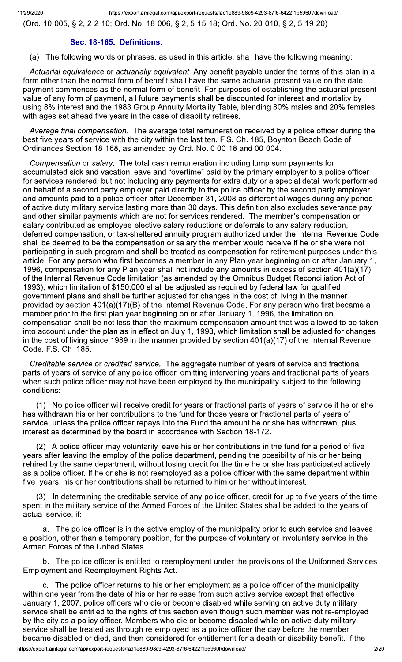(Ord. 10-005, § 2, 2-2-10; Ord. No. 18-006, § 2, 5-15-18; Ord. No. 20-010, § 2, 5-19-20)

#### Sec. 18-165. Definitions.

(a) The following words or phrases, as used in this article, shall have the following meaning:

Actuarial equivalence or actuarially equivalent. Any benefit payable under the terms of this plan in a form other than the normal form of benefit shall have the same actuarial present value on the date payment commences as the normal form of benefit. For purposes of establishing the actuarial present value of any form of payment, all future payments shall be discounted for interest and mortality by using 8% interest and the 1983 Group Annuity Mortality Table, blending 80% males and 20% females, with ages set ahead five years in the case of disability retirees.

Average final compensation. The average total remuneration received by a police officer during the best five years of service with the city within the last ten. F.S. Ch. 185, Boynton Beach Code of Ordinances Section 18-168, as amended by Ord. No. 0 00-18 and 00-004.

Compensation or salary. The total cash remuneration including lump sum payments for accumulated sick and vacation leave and "overtime" paid by the primary employer to a police officer for services rendered, but not including any payments for extra duty or a special detail work performed on behalf of a second party employer paid directly to the police officer by the second party employer and amounts paid to a police officer after December 31, 2008 as differential wages during any period of active duty military service lasting more than 30 days. This definition also excludes severance pay and other similar payments which are not for services rendered. The member's compensation or salary contributed as employee-elective salary reductions or deferrals to any salary reduction, deferred compensation, or tax-sheltered annuity program authorized under the Internal Revenue Code shall be deemed to be the compensation or salary the member would receive if he or she were not participating in such program and shall be treated as compensation for retirement purposes under this article. For any person who first becomes a member in any Plan year beginning on or after January 1, 1996, compensation for any Plan year shall not include any amounts in excess of section 401(a)(17) of the Internal Revenue Code limitation (as amended by the Omnibus Budget Reconciliation Act of 1993), which limitation of \$150,000 shall be adjusted as required by federal law for qualified government plans and shall be further adjusted for changes in the cost of living in the manner provided by section 401(a)(17)(B) of the Internal Revenue Code. For any person who first became a member prior to the first plan year beginning on or after January 1, 1996, the limitation on compensation shall be not less than the maximum compensation amount that was allowed to be taken into account under the plan as in effect on July 1, 1993, which limitation shall be adjusted for changes in the cost of living since 1989 in the manner provided by section  $401(a)(17)$  of the Internal Revenue Code. F.S. Ch. 185.

Creditable service or credited service. The aggregate number of years of service and fractional parts of years of service of any police officer, omitting intervening years and fractional parts of years when such police officer may not have been employed by the municipality subject to the following conditions:

(1) No police officer will receive credit for years or fractional parts of years of service if he or she has withdrawn his or her contributions to the fund for those years or fractional parts of years of service, unless the police officer repays into the Fund the amount he or she has withdrawn, plus interest as determined by the board in accordance with Section 18-172.

(2) A police officer may voluntarily leave his or her contributions in the fund for a period of five years after leaving the employ of the police department, pending the possibility of his or her being rehired by the same department, without losing credit for the time he or she has participated actively as a police officer. If he or she is not reemployed as a police officer with the same department within five years, his or her contributions shall be returned to him or her without interest.

(3) In determining the creditable service of any police officer, credit for up to five years of the time spent in the military service of the Armed Forces of the United States shall be added to the years of actual service, if:

a. The police officer is in the active employ of the municipality prior to such service and leaves a position, other than a temporary position, for the purpose of voluntary or involuntary service in the Armed Forces of the United States.

b. The police officer is entitled to reemployment under the provisions of the Uniformed Services **Employment and Reemployment Rights Act.** 

c. The police officer returns to his or her employment as a police officer of the municipality within one year from the date of his or her release from such active service except that effective January 1, 2007, police officers who die or become disabled while serving on active duty military service shall be entitled to the rights of this section even though such member was not re-employed by the city as a policy officer. Members who die or become disabled while on active duty military service shall be treated as through re-employed as a police officer the day before the member became disabled or died, and then considered for entitlement for a death or disability benefit. If the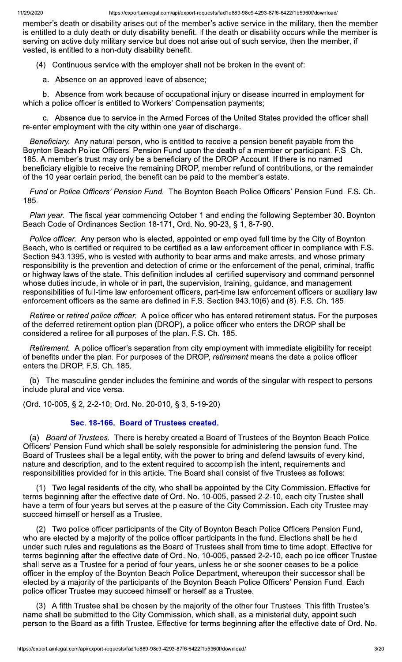member's death or disability arises out of the member's active service in the military, then the member is entitled to a duty death or duty disability benefit. If the death or disability occurs while the member is serving on active duty military service but does not arise out of such service, then the member, if vested, is entitled to a non-duty disability benefit.

(4) Continuous service with the employer shall not be broken in the event of:

a. Absence on an approved leave of absence;

b. Absence from work because of occupational injury or disease incurred in employment for which a police officer is entitled to Workers' Compensation payments;

c. Absence due to service in the Armed Forces of the United States provided the officer shall re-enter employment with the city within one year of discharge.

Beneficiary. Any natural person, who is entitled to receive a pension benefit payable from the Boynton Beach Police Officers' Pension Fund upon the death of a member or participant. F.S. Ch. 185. A member's trust may only be a beneficiary of the DROP Account. If there is no named beneficiary eligible to receive the remaining DROP, member refund of contributions, or the remainder of the 10 year certain period, the benefit can be paid to the member's estate.

Fund or Police Officers' Pension Fund. The Boynton Beach Police Officers' Pension Fund. F.S. Ch. 185.

Plan year. The fiscal year commencing October 1 and ending the following September 30. Boynton Beach Code of Ordinances Section 18-171, Ord. No. 90-23, § 1, 8-7-90.

Police officer. Any person who is elected, appointed or employed full time by the City of Boynton Beach, who is certified or required to be certified as a law enforcement officer in compliance with F.S. Section 943.1395, who is vested with authority to bear arms and make arrests, and whose primary responsibility is the prevention and detection of crime or the enforcement of the penal, criminal, traffic or highway laws of the state. This definition includes all certified supervisory and command personnel whose duties include, in whole or in part, the supervision, training, guidance, and management responsibilities of full-time law enforcement officers, part-time law enforcement officers or auxiliary law enforcement officers as the same are defined in F.S. Section 943.10(6) and (8). F.S. Ch. 185.

Retiree or retired police officer. A police officer who has entered retirement status. For the purposes of the deferred retirement option plan (DROP), a police officer who enters the DROP shall be considered a retiree for all purposes of the plan. F.S. Ch. 185.

Retirement. A police officer's separation from city employment with immediate eligibility for receipt of benefits under the plan. For purposes of the DROP, retirement means the date a police officer enters the DROP. F.S. Ch. 185.

(b) The masculine gender includes the feminine and words of the singular with respect to persons include plural and vice versa.

(Ord. 10-005, § 2, 2-2-10; Ord. No. 20-010, § 3, 5-19-20)

# Sec. 18-166. Board of Trustees created.

(a) Board of Trustees. There is hereby created a Board of Trustees of the Boynton Beach Police Officers' Pension Fund which shall be solely responsible for administering the pension fund. The Board of Trustees shall be a legal entity, with the power to bring and defend lawsuits of every kind, nature and description, and to the extent required to accomplish the intent, requirements and responsibilities provided for in this article. The Board shall consist of five Trustees as follows:

(1) Two legal residents of the city, who shall be appointed by the City Commission. Effective for terms beginning after the effective date of Ord. No. 10-005, passed 2-2-10, each city Trustee shall have a term of four years but serves at the pleasure of the City Commission. Each city Trustee may succeed himself or herself as a Trustee.

(2) Two police officer participants of the City of Boynton Beach Police Officers Pension Fund, who are elected by a majority of the police officer participants in the fund. Elections shall be held under such rules and regulations as the Board of Trustees shall from time to time adopt. Effective for terms beginning after the effective date of Ord. No. 10-005, passed 2-2-10, each police officer Trustee shall serve as a Trustee for a period of four years, unless he or she sooner ceases to be a police officer in the employ of the Boynton Beach Police Department, whereupon their successor shall be elected by a majority of the participants of the Boynton Beach Police Officers' Pension Fund. Each police officer Trustee may succeed himself or herself as a Trustee.

(3) A fifth Trustee shall be chosen by the majority of the other four Trustees. This fifth Trustee's name shall be submitted to the City Commission, which shall, as a ministerial duty, appoint such person to the Board as a fifth Trustee. Effective for terms beginning after the effective date of Ord. No.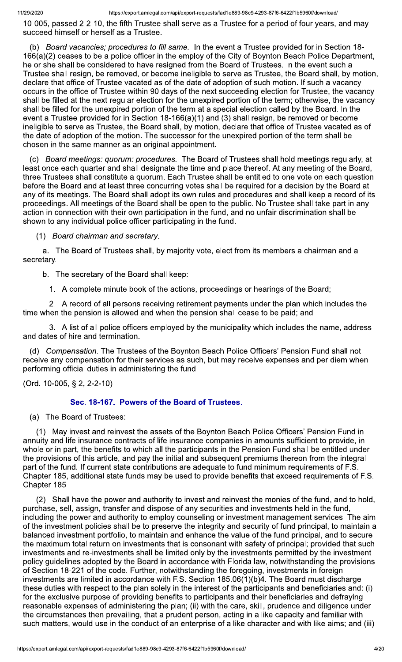10-005, passed 2-2-10, the fifth Trustee shall serve as a Trustee for a period of four years, and may succeed himself or herself as a Trustee.

(b) Board vacancies; procedures to fill same. In the event a Trustee provided for in Section 18-166(a)(2) ceases to be a police officer in the employ of the City of Boynton Beach Police Department, he or she shall be considered to have resigned from the Board of Trustees. In the event such a Trustee shall resign, be removed, or become ineligible to serve as Trustee, the Board shall, by motion, declare that office of Trustee vacated as of the date of adoption of such motion. If such a vacancy occurs in the office of Trustee within 90 days of the next succeeding election for Trustee, the vacancy shall be filled at the next regular election for the unexpired portion of the term; otherwise, the vacancy shall be filled for the unexpired portion of the term at a special election called by the Board. In the event a Trustee provided for in Section 18-166(a)(1) and (3) shall resign, be removed or become ineligible to serve as Trustee, the Board shall, by motion, declare that office of Trustee vacated as of the date of adoption of the motion. The successor for the unexpired portion of the term shall be chosen in the same manner as an original appointment.

Board meetings: quorum: procedures. The Board of Trustees shall hold meetings regularly, at (C) least once each quarter and shall designate the time and place thereof. At any meeting of the Board, three Trustees shall constitute a quorum. Each Trustee shall be entitled to one vote on each question before the Board and at least three concurring votes shall be required for a decision by the Board at any of its meetings. The Board shall adopt its own rules and procedures and shall keep a record of its proceedings. All meetings of the Board shall be open to the public. No Trustee shall take part in any action in connection with their own participation in the fund, and no unfair discrimination shall be shown to any individual police officer participating in the fund.

#### (1) Board chairman and secretary.

a. The Board of Trustees shall, by majority vote, elect from its members a chairman and a secretary.

b. The secretary of the Board shall keep:

1. A complete minute book of the actions, proceedings or hearings of the Board;

2. A record of all persons receiving retirement payments under the plan which includes the time when the pension is allowed and when the pension shall cease to be paid; and

3. A list of all police officers employed by the municipality which includes the name, address and dates of hire and termination.

(d) Compensation. The Trustees of the Boynton Beach Police Officers' Pension Fund shall not receive any compensation for their services as such, but may receive expenses and per diem when performing official duties in administering the fund.

(Ord. 10-005, § 2, 2-2-10)

# Sec. 18-167. Powers of the Board of Trustees.

(a) The Board of Trustees:

(1) May invest and reinvest the assets of the Boynton Beach Police Officers' Pension Fund in annuity and life insurance contracts of life insurance companies in amounts sufficient to provide, in whole or in part, the benefits to which all the participants in the Pension Fund shall be entitled under the provisions of this article, and pay the initial and subsequent premiums thereon from the integral part of the fund. If current state contributions are adequate to fund minimum requirements of F.S. Chapter 185, additional state funds may be used to provide benefits that exceed requirements of F.S. Chapter 185.

(2) Shall have the power and authority to invest and reinvest the monies of the fund, and to hold, purchase, sell, assign, transfer and dispose of any securities and investments held in the fund, including the power and authority to employ counseling or investment management services. The aim of the investment policies shall be to preserve the integrity and security of fund principal, to maintain a balanced investment portfolio, to maintain and enhance the value of the fund principal, and to secure the maximum total return on investments that is consonant with safety of principal; provided that such investments and re-investments shall be limited only by the investments permitted by the investment policy guidelines adopted by the Board in accordance with Florida law, notwithstanding the provisions of Section 18-221 of the code. Further, notwithstanding the foregoing, investments in foreign investments are limited in accordance with F.S. Section 185.06(1)(b)4. The Board must discharge these duties with respect to the plan solely in the interest of the participants and beneficiaries and: (i) for the exclusive purpose of providing benefits to participants and their beneficiaries and defraying reasonable expenses of administering the plan; (ii) with the care, skill, prudence and diligence under the circumstances then prevailing, that a prudent person, acting in a like capacity and familiar with such matters, would use in the conduct of an enterprise of a like character and with like aims; and (iii)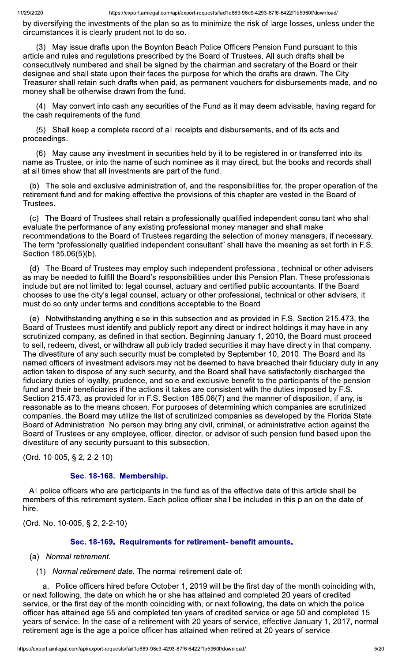by diversifying the investments of the plan so as to minimize the risk of large losses, unless under the circumstances it is clearly prudent not to do so.

(3) May issue drafts upon the Boynton Beach Police Officers Pension Fund pursuant to this article and rules and regulations prescribed by the Board of Trustees. All such drafts shall be consecutively numbered and shall be signed by the chairman and secretary of the Board or their designee and shall state upon their faces the purpose for which the drafts are drawn. The City Treasurer shall retain such drafts when paid, as permanent vouchers for disbursements made, and no money shall be otherwise drawn from the fund.

(4) May convert into cash any securities of the Fund as it may deem advisable, having regard for the cash requirements of the fund.

(5) Shall keep a complete record of all receipts and disbursements, and of its acts and proceedings.

(6) May cause any investment in securities held by it to be registered in or transferred into its name as Trustee, or into the name of such nominee as it may direct, but the books and records shall at all times show that all investments are part of the fund.

The sole and exclusive administration of, and the responsibilities for, the proper operation of the  $(b)$ retirement fund and for making effective the provisions of this chapter are vested in the Board of Trustees.

(c) The Board of Trustees shall retain a professionally qualified independent consultant who shall evaluate the performance of any existing professional money manager and shall make recommendations to the Board of Trustees regarding the selection of money managers, if necessary. The term "professionally qualified independent consultant" shall have the meaning as set forth in F.S. Section 185.06(5)(b).

(d) The Board of Trustees may employ such independent professional, technical or other advisers as may be needed to fulfill the Board's responsibilities under this Pension Plan. These professionals include but are not limited to: legal counsel, actuary and certified public accountants. If the Board chooses to use the city's legal counsel, actuary or other professional, technical or other advisers, it must do so only under terms and conditions acceptable to the Board.

(e) Notwithstanding anything else in this subsection and as provided in F.S. Section 215.473, the Board of Trustees must identify and publicly report any direct or indirect holdings it may have in any scrutinized company, as defined in that section. Beginning January 1, 2010, the Board must proceed to sell, redeem, divest, or withdraw all publicly traded securities it may have directly in that company. The divestiture of any such security must be completed by September 10, 2010. The Board and its named officers of investment advisors may not be deemed to have breached their fiduciary duty in any action taken to dispose of any such security, and the Board shall have satisfactorily discharged the fiduciary duties of loyalty, prudence, and sole and exclusive benefit to the participants of the pension fund and their beneficiaries if the actions it takes are consistent with the duties imposed by F.S. Section 215.473, as provided for in F.S. Section 185.06(7) and the manner of disposition, if any, is reasonable as to the means chosen. For purposes of determining which companies are scrutinized companies, the Board may utilize the list of scrutinized companies as developed by the Florida State Board of Administration. No person may bring any civil, criminal, or administrative action against the Board of Trustees or any employee, officer, director, or advisor of such pension fund based upon the divestiture of any security pursuant to this subsection.

(Ord. 10-005, § 2, 2-2-10)

# Sec. 18-168. Membership.

All police officers who are participants in the fund as of the effective date of this article shall be members of this retirement system. Each police officer shall be included in this plan on the date of hire.

(Ord. No. 10-005, § 2, 2-2-10)

# Sec. 18-169. Requirements for retirement- benefit amounts.

- (a) Normal retirement.
	- (1) Normal retirement date. The normal retirement date of:

a. Police officers hired before October 1, 2019 will be the first day of the month coinciding with, or next following, the date on which he or she has attained and completed 20 years of credited service, or the first day of the month coinciding with, or next following, the date on which the police officer has attained age 55 and completed ten years of credited service or age 50 and completed 15 years of service. In the case of a retirement with 20 years of service, effective January 1, 2017, normal retirement age is the age a police officer has attained when retired at 20 years of service.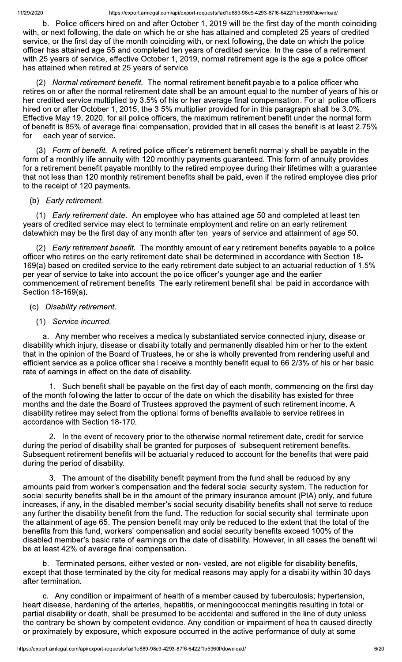b. Police officers hired on and after October 1, 2019 will be the first day of the month coinciding with, or next following, the date on which he or she has attained and completed 25 years of credited service, or the first day of the month coinciding with, or next following, the date on which the police officer has attained age 55 and completed ten years of credited service. In the case of a retirement with 25 years of service, effective October 1, 2019, normal retirement age is the age a police officer has attained when retired at 25 years of service.

(2) Normal retirement benefit. The normal retirement benefit payable to a police officer who retires on or after the normal retirement date shall be an amount equal to the number of years of his or her credited service multiplied by 3.5% of his or her average final compensation. For all police officers hired on or after October 1, 2015, the 3.5% multiplier provided for in this paragraph shall be 3.0%. Effective May 19, 2020, for all police officers, the maximum retirement benefit under the normal form of benefit is 85% of average final compensation, provided that in all cases the benefit is at least 2.75% for each year of service.

(3) Form of benefit. A retired police officer's retirement benefit normally shall be payable in the form of a monthly life annuity with 120 monthly payments guaranteed. This form of annuity provides for a retirement benefit payable monthly to the retired employee during their lifetimes with a guarantee that not less than 120 monthly retirement benefits shall be paid, even if the retired employee dies prior to the receipt of 120 payments.

#### (b) Early retirement.

(1) *Early retirement date.* An employee who has attained age 50 and completed at least ten years of credited service may elect to terminate employment and retire on an early retirement datewhich may be the first day of any month after ten years of service and attainment of age 50.

(2) Early retirement benefit. The monthly amount of early retirement benefits payable to a police officer who retires on the early retirement date shall be determined in accordance with Section 18-169(a) based on credited service to the early retirement date subject to an actuarial reduction of 1.5% per year of service to take into account the police officer's younger age and the earlier commencement of retirement benefits. The early retirement benefit shall be paid in accordance with Section 18-169(a).

#### (c) Disability retirement.

(1) Service incurred.

a. Any member who receives a medically substantiated service connected injury, disease or disability which injury, disease or disability totally and permanently disabled him or her to the extent that in the opinion of the Board of Trustees, he or she is wholly prevented from rendering useful and efficient service as a police officer shall receive a monthly benefit equal to 66 2/3% of his or her basic rate of earnings in effect on the date of disability.

Such benefit shall be payable on the first day of each month, commencing on the first day of the month following the latter to occur of the date on which the disability has existed for three months and the date the Board of Trustees approved the payment of such retirement income. A disability retiree may select from the optional forms of benefits available to service retirees in accordance with Section 18-170.

2. In the event of recovery prior to the otherwise normal retirement date, credit for service during the period of disability shall be granted for purposes of subsequent retirement benefits. Subsequent retirement benefits will be actuarially reduced to account for the benefits that were paid during the period of disability.

3. The amount of the disability benefit payment from the fund shall be reduced by any amounts paid from worker's compensation and the federal social security system. The reduction for social security benefits shall be in the amount of the primary insurance amount (PIA) only, and future increases, if any, in the disabled member's social security disability benefits shall not serve to reduce any further the disability benefit from the fund. The reduction for social security shall terminate upon the attainment of age 65. The pension benefit may only be reduced to the extent that the total of the benefits from this fund, workers' compensation and social security benefits exceed 100% of the disabled member's basic rate of earnings on the date of disability. However, in all cases the benefit will be at least 42% of average final compensation.

b. Terminated persons, either vested or non- vested, are not eligible for disability benefits, except that those terminated by the city for medical reasons may apply for a disability within 30 days after termination.

c. Any condition or impairment of health of a member caused by tuberculosis; hypertension, heart disease, hardening of the arteries, hepatitis, or meningococcal meningitis resulting in total or partial disability or death, shall be presumed to be accidental and suffered in the line of duty unless the contrary be shown by competent evidence. Any condition or impairment of health caused directly or proximately by exposure, which exposure occurred in the active performance of duty at some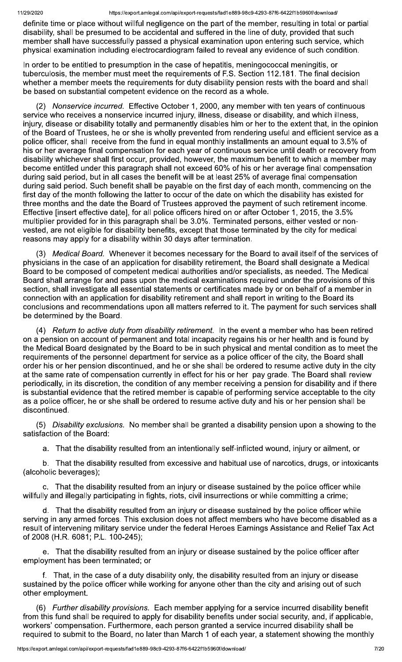definite time or place without willful negligence on the part of the member, resulting in total or partial disability, shall be presumed to be accidental and suffered in the line of duty, provided that such member shall have successfully passed a physical examination upon entering such service, which physical examination including electrocardiogram failed to reveal any evidence of such condition.

In order to be entitled to presumption in the case of hepatitis, meningococcal meningitis, or tuberculosis, the member must meet the requirements of F.S. Section 112.181. The final decision whether a member meets the requirements for duty disability pension rests with the board and shall be based on substantial competent evidence on the record as a whole.

(2) Nonservice incurred. Effective October 1, 2000, any member with ten years of continuous service who receives a nonservice incurred injury, illness, disease or disability, and which illness, injury, disease or disability totally and permanently disables him or her to the extent that, in the opinion of the Board of Trustees, he or she is wholly prevented from rendering useful and efficient service as a police officer, shall receive from the fund in equal monthly installments an amount equal to 3.5% of his or her average final compensation for each year of continuous service until death or recovery from disability whichever shall first occur, provided, however, the maximum benefit to which a member may become entitled under this paragraph shall not exceed 60% of his or her average final compensation during said period, but in all cases the benefit will be at least 25% of average final compensation during said period. Such benefit shall be payable on the first day of each month, commencing on the first day of the month following the latter to occur of the date on which the disability has existed for three months and the date the Board of Trustees approved the payment of such retirement income. Effective [insert effective date], for all police officers hired on or after October 1, 2015, the 3.5% multiplier provided for in this paragraph shall be 3.0%. Terminated persons, either vested or nonvested, are not eligible for disability benefits, except that those terminated by the city for medical reasons may apply for a disability within 30 days after termination.

Medical Board. Whenever it becomes necessary for the Board to avail itself of the services of physicians in the case of an application for disability retirement, the Board shall designate a Medical Board to be composed of competent medical authorities and/or specialists, as needed. The Medical Board shall arrange for and pass upon the medical examinations required under the provisions of this section, shall investigate all essential statements or certificates made by or on behalf of a member in connection with an application for disability retirement and shall report in writing to the Board its conclusions and recommendations upon all matters referred to it. The payment for such services shall be determined by the Board.

(4) Return to active duty from disability retirement. In the event a member who has been retired on a pension on account of permanent and total incapacity regains his or her health and is found by the Medical Board designated by the Board to be in such physical and mental condition as to meet the requirements of the personnel department for service as a police officer of the city, the Board shall order his or her pension discontinued, and he or she shall be ordered to resume active duty in the city at the same rate of compensation currently in effect for his or her pay grade. The Board shall review periodically, in its discretion, the condition of any member receiving a pension for disability and if there is substantial evidence that the retired member is capable of performing service acceptable to the city as a police officer, he or she shall be ordered to resume active duty and his or her pension shall be discontinued.

(5) Disability exclusions. No member shall be granted a disability pension upon a showing to the satisfaction of the Board:

a. That the disability resulted from an intentionally self-inflicted wound, injury or ailment, or

b. That the disability resulted from excessive and habitual use of narcotics, drugs, or intoxicants (alcoholic beverages);

c. That the disability resulted from an injury or disease sustained by the police officer while willfully and illegally participating in fights, riots, civil insurrections or while committing a crime;

d. That the disability resulted from an injury or disease sustained by the police officer while serving in any armed forces. This exclusion does not affect members who have become disabled as a result of intervening military service under the federal Heroes Earnings Assistance and Relief Tax Act of 2008 (H.R. 6081; P.L. 100-245);

e. That the disability resulted from an injury or disease sustained by the police officer after employment has been terminated; or

f. That, in the case of a duty disability only, the disability resulted from an injury or disease sustained by the police officer while working for anyone other than the city and arising out of such other employment.

(6) Further disability provisions. Each member applying for a service incurred disability benefit from this fund shall be required to apply for disability benefits under social security, and, if applicable, workers' compensation. Furthermore, each person granted a service incurred disability shall be required to submit to the Board, no later than March 1 of each year, a statement showing the monthly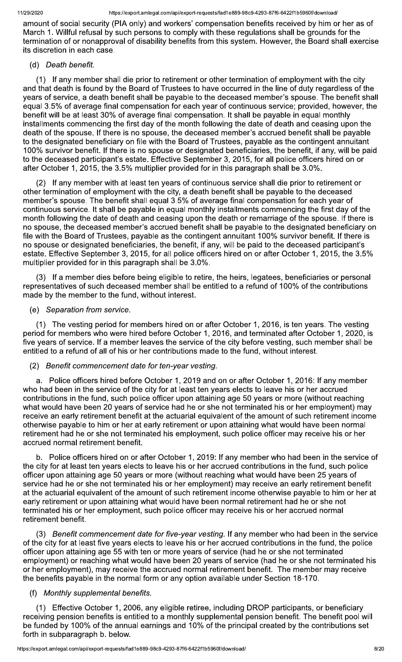amount of social security (PIA only) and workers' compensation benefits received by him or her as of March 1. Willful refusal by such persons to comply with these regulations shall be grounds for the termination of or nonapproval of disability benefits from this system. However, the Board shall exercise its discretion in each case.

### (d) Death benefit.

If any member shall die prior to retirement or other termination of employment with the city  $(1)$ and that death is found by the Board of Trustees to have occurred in the line of duty regardless of the years of service, a death benefit shall be payable to the deceased member's spouse. The benefit shall equal 3.5% of average final compensation for each year of continuous service; provided, however, the benefit will be at least 30% of average final compensation. It shall be payable in equal monthly installments commencing the first day of the month following the date of death and ceasing upon the death of the spouse. If there is no spouse, the deceased member's accrued benefit shall be payable to the designated beneficiary on file with the Board of Trustees, payable as the contingent annuitant 100% survivor benefit. If there is no spouse or designated beneficiaries, the benefit, if any, will be paid to the deceased participant's estate. Effective September 3, 2015, for all police officers hired on or after October 1, 2015, the 3.5% multiplier provided for in this paragraph shall be 3.0%.

(2) If any member with at least ten years of continuous service shall die prior to retirement or other termination of employment with the city, a death benefit shall be payable to the deceased member's spouse. The benefit shall equal 3.5% of average final compensation for each year of continuous service. It shall be payable in equal monthly installments commencing the first day of the month following the date of death and ceasing upon the death or remarriage of the spouse. If there is no spouse, the deceased member's accrued benefit shall be payable to the designated beneficiary on file with the Board of Trustees, payable as the contingent annuitant 100% survivor benefit. If there is no spouse or designated beneficiaries, the benefit, if any, will be paid to the deceased participant's estate. Effective September 3, 2015, for all police officers hired on or after October 1, 2015, the 3.5% multiplier provided for in this paragraph shall be 3.0%.

(3) If a member dies before being eligible to retire, the heirs, legatees, beneficiaries or personal representatives of such deceased member shall be entitled to a refund of 100% of the contributions made by the member to the fund, without interest.

#### (e) Separation from service.

(1) The vesting period for members hired on or after October 1, 2016, is ten years. The vesting period for members who were hired before October 1, 2016, and terminated after October 1, 2020, is five years of service. If a member leaves the service of the city before vesting, such member shall be entitled to a refund of all of his or her contributions made to the fund, without interest.

#### (2) Benefit commencement date for ten-year vesting.

a. Police officers hired before October 1, 2019 and on or after October 1, 2016: If any member who had been in the service of the city for at least ten years elects to leave his or her accrued contributions in the fund, such police officer upon attaining age 50 years or more (without reaching what would have been 20 years of service had he or she not terminated his or her employment) may receive an early retirement benefit at the actuarial equivalent of the amount of such retirement income otherwise payable to him or her at early retirement or upon attaining what would have been normal retirement had he or she not terminated his employment, such police officer may receive his or her accrued normal retirement benefit.

b. Police officers hired on or after October 1, 2019: If any member who had been in the service of the city for at least ten years elects to leave his or her accrued contributions in the fund, such police officer upon attaining age 50 years or more (without reaching what would have been 25 years of service had he or she not terminated his or her employment) may receive an early retirement benefit at the actuarial equivalent of the amount of such retirement income otherwise payable to him or her at early retirement or upon attaining what would have been normal retirement had he or she not terminated his or her employment, such police officer may receive his or her accrued normal retirement benefit.

(3) Benefit commencement date for five-year vesting. If any member who had been in the service of the city for at least five years elects to leave his or her accrued contributions in the fund, the police officer upon attaining age 55 with ten or more years of service (had he or she not terminated employment) or reaching what would have been 20 years of service (had he or she not terminated his or her employment), may receive the accrued normal retirement benefit. The member may receive the benefits payable in the normal form or any option available under Section 18-170.

#### (f) Monthly supplemental benefits.

(1) Effective October 1, 2006, any eligible retiree, including DROP participants, or beneficiary receiving pension benefits is entitled to a monthly supplemental pension benefit. The benefit pool will be funded by 100% of the annual earnings and 10% of the principal created by the contributions set forth in subparagraph b. below.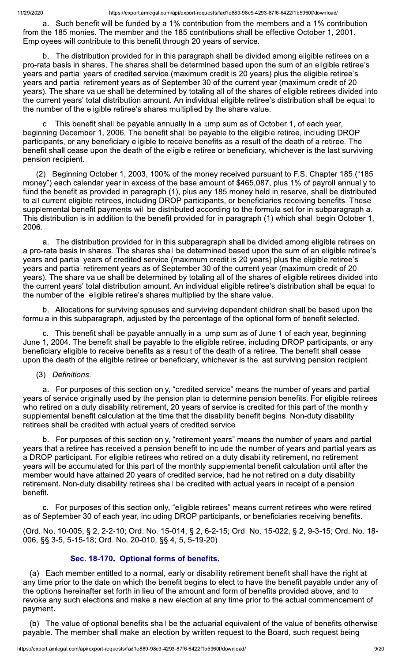a. Such benefit will be funded by a 1% contribution from the members and a 1% contribution from the 185 monies. The member and the 185 contributions shall be effective October 1, 2001. Employees will contribute to this benefit through 20 years of service.

b. The distribution provided for in this paragraph shall be divided among eligible retirees on a pro-rata basis in shares. The shares shall be determined based upon the sum of an eligible retiree's years and partial years of credited service (maximum credit is 20 years) plus the eligible retiree's years and partial retirement years as of September 30 of the current year (maximum credit of 20 years). The share value shall be determined by totaling all of the shares of eligible retirees divided into the current years' total distribution amount. An individual eligible retiree's distribution shall be equal to the number of the eligible retiree's shares multiplied by the share value.

c. This benefit shall be payable annually in a lump sum as of October 1, of each year, beginning December 1, 2006. The benefit shall be payable to the eligible retiree, including DROP participants, or any beneficiary eligible to receive benefits as a result of the death of a retiree. The benefit shall cease upon the death of the eligible retiree or beneficiary, whichever is the last surviving pension recipient.

(2) Beginning October 1, 2003, 100% of the money received pursuant to F.S. Chapter 185 ("185 money") each calendar year in excess of the base amount of \$465,087, plus 1% of payroll annually to fund the benefit as provided in paragraph (1), plus any 185 money held in reserve, shall be distributed to all current eligible retirees, including DROP participants, or beneficiaries receiving benefits. These supplemental benefit payments will be distributed according to the formula set for in subparagraph a. This distribution is in addition to the benefit provided for in paragraph (1) which shall begin October 1, 2006.

a. The distribution provided for in this subparagraph shall be divided among eligible retirees on a pro-rata basis in shares. The shares shall be determined based upon the sum of an eligible retiree's years and partial years of credited service (maximum credit is 20 years) plus the eligible retiree's years and partial retirement years as of September 30 of the current year (maximum credit of 20 years). The share value shall be determined by totaling all of the shares of eligible retirees divided into the current years' total distribution amount. An individual eligible retiree's distribution shall be equal to the number of the eligible retiree's shares multiplied by the share value.

b. Allocations for surviving spouses and surviving dependent children shall be based upon the formula in this subparagraph, adjusted by the percentage of the optional form of benefit selected.

c. This benefit shall be payable annually in a lump sum as of June 1 of each year, beginning June 1, 2004. The benefit shall be payable to the eligible retiree, including DROP participants, or any beneficiary eligible to receive benefits as a result of the death of a retiree. The benefit shall cease upon the death of the eligible retiree or beneficiary, whichever is the last surviving pension recipient.

(3) Definitions.

a. For purposes of this section only, "credited service" means the number of years and partial years of service originally used by the pension plan to determine pension benefits. For eligible retirees who retired on a duty disability retirement, 20 years of service is credited for this part of the monthly supplemental benefit calculation at the time that the disability benefit begins. Non-duty disability retirees shall be credited with actual years of credited service.

For purposes of this section only, "retirement years" means the number of years and partial b. years that a retiree has received a pension benefit to include the number of years and partial years as a DROP participant. For eligible retirees who retired on a duty disability retirement, no retirement years will be accumulated for this part of the monthly supplemental benefit calculation until after the member would have attained 20 years of credited service, had he not retired on a duty disability retirement. Non-duty disability retirees shall be credited with actual years in receipt of a pension benefit.

c. For purposes of this section only, "eligible retirees" means current retirees who were retired as of September 30 of each year, including DROP participants, or beneficiaries receiving benefits.

(Ord. No. 10-005, § 2, 2-2-10; Ord. No. 15-014, § 2, 6-2-15; Ord. No. 15-022, § 2, 9-3-15; Ord. No. 18-006, §§ 3-5, 5-15-18; Ord. No. 20-010, §§ 4, 5, 5-19-20)

# Sec. 18-170. Optional forms of benefits.

(a) Each member entitled to a normal, early or disability retirement benefit shall have the right at any time prior to the date on which the benefit begins to elect to have the benefit payable under any of the options hereinafter set forth in lieu of the amount and form of benefits provided above, and to revoke any such elections and make a new election at any time prior to the actual commencement of payment.

(b) The value of optional benefits shall be the actuarial equivalent of the value of benefits otherwise payable. The member shall make an election by written request to the Board, such request being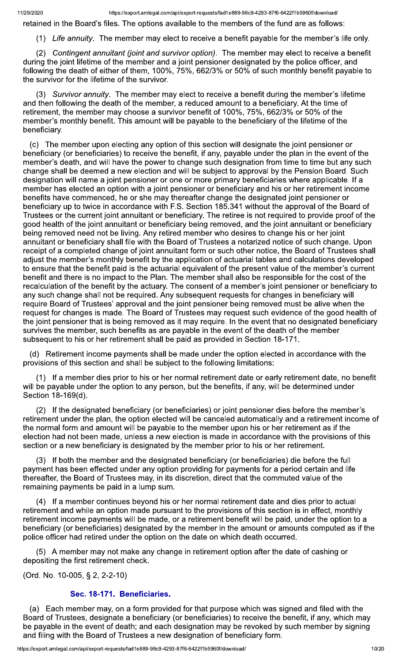retained in the Board's files. The options available to the members of the fund are as follows:

(1) Life annuity. The member may elect to receive a benefit payable for the member's life only.

(2) Contingent annuitant (joint and survivor option). The member may elect to receive a benefit during the joint lifetime of the member and a joint pensioner designated by the police officer, and following the death of either of them, 100%, 75%, 662/3% or 50% of such monthly benefit payable to the survivor for the lifetime of the survivor.

(3) Survivor annuity. The member may elect to receive a benefit during the member's lifetime and then following the death of the member, a reduced amount to a beneficiary. At the time of retirement, the member may choose a survivor benefit of 100%, 75%, 662/3% or 50% of the member's monthly benefit. This amount will be payable to the beneficiary of the lifetime of the beneficiary.

(c) The member upon electing any option of this section will designate the joint pensioner or beneficiary (or beneficiaries) to receive the benefit, if any, payable under the plan in the event of the member's death, and will have the power to change such designation from time to time but any such change shall be deemed a new election and will be subject to approval by the Pension Board. Such designation will name a joint pensioner or one or more primary beneficiaries where applicable. If a member has elected an option with a joint pensioner or beneficiary and his or her retirement income benefits have commenced, he or she may thereafter change the designated joint pensioner or beneficiary up to twice in accordance with F.S. Section 185.341 without the approval of the Board of Trustees or the current joint annuitant or beneficiary. The retiree is not required to provide proof of the good health of the joint annuitant or beneficiary being removed, and the joint annuitant or beneficiary being removed need not be living. Any retired member who desires to change his or her joint annuitant or beneficiary shall file with the Board of Trustees a notarized notice of such change. Upon receipt of a completed change of joint annuitant form or such other notice, the Board of Trustees shall adjust the member's monthly benefit by the application of actuarial tables and calculations developed to ensure that the benefit paid is the actuarial equivalent of the present value of the member's current benefit and there is no impact to the Plan. The member shall also be responsible for the cost of the recalculation of the benefit by the actuary. The consent of a member's joint pensioner or beneficiary to any such change shall not be required. Any subsequent requests for changes in beneficiary will require Board of Trustees' approval and the joint pensioner being removed must be alive when the request for changes is made. The Board of Trustees may request such evidence of the good health of the joint pensioner that is being removed as it may require. In the event that no designated beneficiary survives the member, such benefits as are payable in the event of the death of the member subsequent to his or her retirement shall be paid as provided in Section 18-171.

(d) Retirement income payments shall be made under the option elected in accordance with the provisions of this section and shall be subject to the following limitations:

(1) If a member dies prior to his or her normal retirement date or early retirement date, no benefit will be payable under the option to any person, but the benefits, if any, will be determined under Section 18-169(d).

(2) If the designated beneficiary (or beneficiaries) or joint pensioner dies before the member's retirement under the plan, the option elected will be canceled automatically and a retirement income of the normal form and amount will be payable to the member upon his or her retirement as if the election had not been made, unless a new election is made in accordance with the provisions of this section or a new beneficiary is designated by the member prior to his or her retirement.

(3) If both the member and the designated beneficiary (or beneficiaries) die before the full payment has been effected under any option providing for payments for a period certain and life thereafter, the Board of Trustees may, in its discretion, direct that the commuted value of the remaining payments be paid in a lump sum.

(4) If a member continues beyond his or her normal retirement date and dies prior to actual retirement and while an option made pursuant to the provisions of this section is in effect, monthly retirement income payments will be made, or a retirement benefit will be paid, under the option to a beneficiary (or beneficiaries) designated by the member in the amount or amounts computed as if the police officer had retired under the option on the date on which death occurred.

(5) A member may not make any change in retirement option after the date of cashing or depositing the first retirement check.

(Ord. No. 10-005, § 2, 2-2-10)

#### Sec. 18-171. Beneficiaries.

(a) Each member may, on a form provided for that purpose which was signed and filed with the Board of Trustees, designate a beneficiary (or beneficiaries) to receive the benefit, if any, which may be payable in the event of death; and each designation may be revoked by such member by signing and filing with the Board of Trustees a new designation of beneficiary form.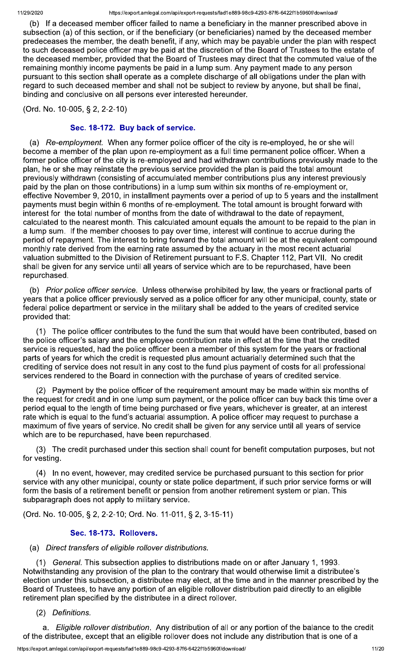(b) If a deceased member officer failed to name a beneficiary in the manner prescribed above in subsection (a) of this section, or if the beneficiary (or beneficiaries) named by the deceased member predeceases the member, the death benefit, if any, which may be payable under the plan with respect to such deceased police officer may be paid at the discretion of the Board of Trustees to the estate of the deceased member, provided that the Board of Trustees may direct that the commuted value of the remaining monthly income payments be paid in a lump sum. Any payment made to any person pursuant to this section shall operate as a complete discharge of all obligations under the plan with regard to such deceased member and shall not be subject to review by anyone, but shall be final, binding and conclusive on all persons ever interested hereunder.

(Ord. No. 10-005, § 2, 2-2-10)

# Sec. 18-172. Buy back of service.

(a) Re-employment. When any former police officer of the city is re-employed, he or she will become a member of the plan upon re-employment as a full time permanent police officer. When a former police officer of the city is re-employed and had withdrawn contributions previously made to the plan, he or she may reinstate the previous service provided the plan is paid the total amount previously withdrawn (consisting of accumulated member contributions plus any interest previously paid by the plan on those contributions) in a lump sum within six months of re-employment or, effective November 9, 2010, in installment payments over a period of up to 5 years and the installment payments must begin within 6 months of re-employment. The total amount is brought forward with interest for the total number of months from the date of withdrawal to the date of repayment, calculated to the nearest month. This calculated amount equals the amount to be repaid to the plan in a lump sum. If the member chooses to pay over time, interest will continue to accrue during the period of repayment. The interest to bring forward the total amount will be at the equivalent compound monthly rate derived from the earning rate assumed by the actuary in the most recent actuarial valuation submitted to the Division of Retirement pursuant to F.S. Chapter 112, Part VII. No credit shall be given for any service until all years of service which are to be repurchased, have been repurchased.

(b) Prior police officer service. Unless otherwise prohibited by law, the years or fractional parts of years that a police officer previously served as a police officer for any other municipal, county, state or federal police department or service in the military shall be added to the years of credited service provided that:

(1) The police officer contributes to the fund the sum that would have been contributed, based on the police officer's salary and the employee contribution rate in effect at the time that the credited service is requested, had the police officer been a member of this system for the years or fractional parts of years for which the credit is requested plus amount actuarially determined such that the crediting of service does not result in any cost to the fund plus payment of costs for all professional services rendered to the Board in connection with the purchase of years of credited service.

(2) Payment by the police officer of the requirement amount may be made within six months of the request for credit and in one lump sum payment, or the police officer can buy back this time over a period equal to the length of time being purchased or five years, whichever is greater, at an interest rate which is equal to the fund's actuarial assumption. A police officer may request to purchase a maximum of five years of service. No credit shall be given for any service until all years of service which are to be repurchased, have been repurchased.

(3) The credit purchased under this section shall count for benefit computation purposes, but not for vesting.

(4) In no event, however, may credited service be purchased pursuant to this section for prior service with any other municipal, county or state police department, if such prior service forms or will form the basis of a retirement benefit or pension from another retirement system or plan. This subparagraph does not apply to military service.

(Ord. No. 10-005, § 2, 2-2-10; Ord. No. 11-011, § 2, 3-15-11)

# Sec. 18-173. Rollovers.

### (a) Direct transfers of eligible rollover distributions.

(1) General. This subsection applies to distributions made on or after January 1, 1993. Notwithstanding any provision of the plan to the contrary that would otherwise limit a distributee's election under this subsection, a distributee may elect, at the time and in the manner prescribed by the Board of Trustees, to have any portion of an eligible rollover distribution paid directly to an eligible retirement plan specified by the distributee in a direct rollover.

(2) Definitions.

a. Eligible rollover distribution. Any distribution of all or any portion of the balance to the credit of the distributee, except that an eligible rollover does not include any distribution that is one of a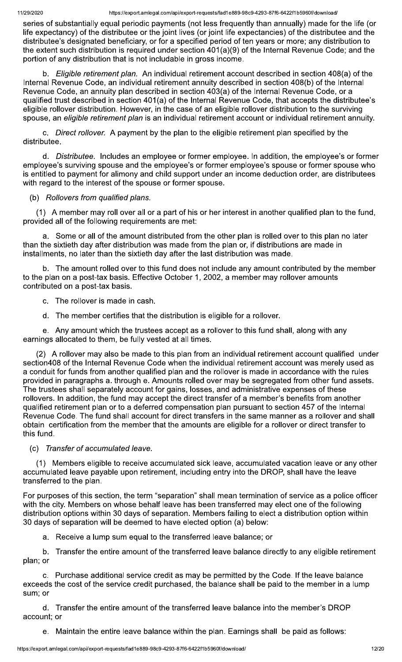series of substantially equal periodic payments (not less frequently than annually) made for the life (or life expectancy) of the distributee or the joint lives (or joint life expectancies) of the distributee and the distributee's designated beneficiary, or for a specified period of ten years or more; any distribution to the extent such distribution is required under section 401(a)(9) of the Internal Revenue Code; and the portion of any distribution that is not includable in gross income.

b. Eligible retirement plan. An individual retirement account described in section 408(a) of the Internal Revenue Code, an individual retirement annuity described in section 408(b) of the Internal Revenue Code, an annuity plan described in section 403(a) of the Internal Revenue Code, or a qualified trust described in section 401(a) of the Internal Revenue Code, that accepts the distributee's eligible rollover distribution. However, in the case of an eligible rollover distribution to the surviving spouse, an eligible retirement plan is an individual retirement account or individual retirement annuity.

Direct rollover. A payment by the plan to the eligible retirement plan specified by the  $C<sub>1</sub>$ distributee.

d. Distributee. Includes an employee or former employee. In addition, the employee's or former employee's surviving spouse and the employee's or former employee's spouse or former spouse who is entitled to payment for alimony and child support under an income deduction order, are distributees with regard to the interest of the spouse or former spouse.

# (b) Rollovers from qualified plans.

(1) A member may roll over all or a part of his or her interest in another qualified plan to the fund, provided all of the following requirements are met:

Some or all of the amount distributed from the other plan is rolled over to this plan no later than the sixtieth day after distribution was made from the plan or, if distributions are made in installments, no later than the sixtieth day after the last distribution was made.

b. The amount rolled over to this fund does not include any amount contributed by the member to the plan on a post-tax basis. Effective October 1, 2002, a member may rollover amounts contributed on a post-tax basis.

- c. The rollover is made in cash.
- d. The member certifies that the distribution is eligible for a rollover.

e. Any amount which the trustees accept as a rollover to this fund shall, along with any earnings allocated to them, be fully vested at all times.

(2) A rollover may also be made to this plan from an individual retirement account qualified under section408 of the Internal Revenue Code when the individual retirement account was merely used as a conduit for funds from another qualified plan and the rollover is made in accordance with the rules provided in paragraphs a. through e. Amounts rolled over may be segregated from other fund assets. The trustees shall separately account for gains, losses, and administrative expenses of these rollovers. In addition, the fund may accept the direct transfer of a member's benefits from another qualified retirement plan or to a deferred compensation plan pursuant to section 457 of the Internal Revenue Code. The fund shall account for direct transfers in the same manner as a rollover and shall obtain certification from the member that the amounts are eligible for a rollover or direct transfer to this fund.

(c) Transfer of accumulated leave.

(1) Members eligible to receive accumulated sick leave, accumulated vacation leave or any other accumulated leave payable upon retirement, including entry into the DROP, shall have the leave transferred to the plan.

For purposes of this section, the term "separation" shall mean termination of service as a police officer with the city. Members on whose behalf leave has been transferred may elect one of the following distribution options within 30 days of separation. Members failing to elect a distribution option within 30 days of separation will be deemed to have elected option (a) below:

Receive a lump sum equal to the transferred leave balance; or а.

 $h_{-}$ Transfer the entire amount of the transferred leave balance directly to any eligible retirement plan; or

c. Purchase additional service credit as may be permitted by the Code. If the leave balance exceeds the cost of the service credit purchased, the balance shall be paid to the member in a lump sum: or

d. Transfer the entire amount of the transferred leave balance into the member's DROP account; or

e. Maintain the entire leave balance within the plan. Earnings shall be paid as follows: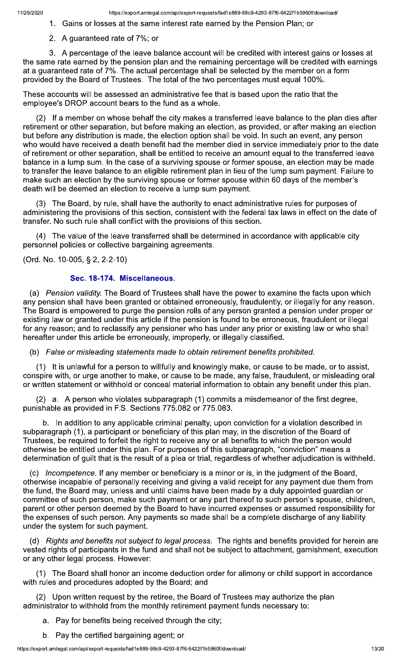#### 1. Gains or losses at the same interest rate earned by the Pension Plan; or

2. A guaranteed rate of 7%; or

3. A percentage of the leave balance account will be credited with interest gains or losses at the same rate earned by the pension plan and the remaining percentage will be credited with earnings at a guaranteed rate of 7%. The actual percentage shall be selected by the member on a form provided by the Board of Trustees. The total of the two percentages must equal 100%.

These accounts will be assessed an administrative fee that is based upon the ratio that the employee's DROP account bears to the fund as a whole.

(2) If a member on whose behalf the city makes a transferred leave balance to the plan dies after retirement or other separation, but before making an election, as provided, or after making an election but before any distribution is made, the election option shall be void. In such an event, any person who would have received a death benefit had the member died in service immediately prior to the date of retirement or other separation, shall be entitled to receive an amount equal to the transferred leave balance in a lump sum. In the case of a surviving spouse or former spouse, an election may be made to transfer the leave balance to an eligible retirement plan in lieu of the lump sum payment. Failure to make such an election by the surviving spouse or former spouse within 60 days of the member's death will be deemed an election to receive a lump sum payment.

(3) The Board, by rule, shall have the authority to enact administrative rules for purposes of administering the provisions of this section, consistent with the federal tax laws in effect on the date of transfer. No such rule shall conflict with the provisions of this section.

(4) The value of the leave transferred shall be determined in accordance with applicable city personnel policies or collective bargaining agreements.

(Ord. No. 10-005, § 2, 2-2-10)

### Sec. 18-174. Miscellaneous.

(a) Pension validity. The Board of Trustees shall have the power to examine the facts upon which any pension shall have been granted or obtained erroneously, fraudulently, or illegally for any reason. The Board is empowered to purge the pension rolls of any person granted a pension under proper or existing law or granted under this article if the pension is found to be erroneous, fraudulent or illegal for any reason; and to reclassify any pensioner who has under any prior or existing law or who shall hereafter under this article be erroneously, improperly, or illegally classified.

(b) False or misleading statements made to obtain retirement benefits prohibited.

(1) It is unlawful for a person to willfully and knowingly make, or cause to be made, or to assist, conspire with, or urge another to make, or cause to be made, any false, fraudulent, or misleading oral or written statement or withhold or conceal material information to obtain any benefit under this plan.

(2) a. A person who violates subparagraph (1) commits a misdemeanor of the first degree, punishable as provided in F.S. Sections 775.082 or 775.083.

b. In addition to any applicable criminal penalty, upon conviction for a violation described in subparagraph (1), a participant or beneficiary of this plan may, in the discretion of the Board of Trustees, be required to forfeit the right to receive any or all benefits to which the person would otherwise be entitled under this plan. For purposes of this subparagraph, "conviction" means a determination of guilt that is the result of a plea or trial, regardless of whether adjudication is withheld.

(c) *Incompetence*. If any member or beneficiary is a minor or is, in the judgment of the Board, otherwise incapable of personally receiving and giving a valid receipt for any payment due them from the fund, the Board may, unless and until claims have been made by a duly appointed guardian or committee of such person, make such payment or any part thereof to such person's spouse, children, parent or other person deemed by the Board to have incurred expenses or assumed responsibility for the expenses of such person. Any payments so made shall be a complete discharge of any liability under the system for such payment.

(d) Rights and benefits not subject to legal process. The rights and benefits provided for herein are vested rights of participants in the fund and shall not be subject to attachment, garnishment, execution or any other legal process. However:

(1) The Board shall honor an income deduction order for alimony or child support in accordance with rules and procedures adopted by the Board; and

(2) Upon written request by the retiree, the Board of Trustees may authorize the plan administrator to withhold from the monthly retirement payment funds necessary to:

- a. Pay for benefits being received through the city;
- b. Pay the certified bargaining agent; or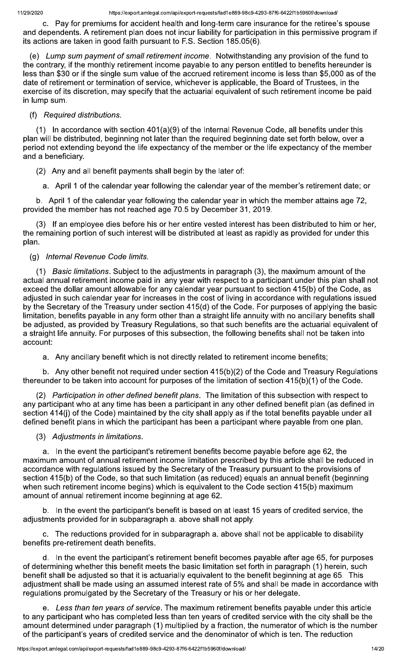c. Pay for premiums for accident health and long-term care insurance for the retiree's spouse and dependents. A retirement plan does not incur liability for participation in this permissive program if its actions are taken in good faith pursuant to F.S. Section 185.05(6).

(e) Lump sum payment of small retirement income. Notwithstanding any provision of the fund to the contrary, if the monthly retirement income payable to any person entitled to benefits hereunder is less than \$30 or if the single sum value of the accrued retirement income is less than \$5,000 as of the date of retirement or termination of service, whichever is applicable, the Board of Trustees, in the exercise of its discretion, may specify that the actuarial equivalent of such retirement income be paid in lump sum.

# (f) Required distributions.

(1) In accordance with section  $401(a)(9)$  of the Internal Revenue Code, all benefits under this plan will be distributed, beginning not later than the required beginning date set forth below, over a period not extending beyond the life expectancy of the member or the life expectancy of the member and a beneficiary.

- (2) Any and all benefit payments shall begin by the later of:
- a. April 1 of the calendar year following the calendar year of the member's retirement date; or

b. April 1 of the calendar year following the calendar year in which the member attains age 72, provided the member has not reached age 70.5 by December 31, 2019.

(3) If an employee dies before his or her entire vested interest has been distributed to him or her, the remaining portion of such interest will be distributed at least as rapidly as provided for under this plan.

# (g) Internal Revenue Code limits.

(1) *Basic limitations*. Subject to the adjustments in paragraph (3), the maximum amount of the actual annual retirement income paid in any year with respect to a participant under this plan shall not exceed the dollar amount allowable for any calendar year pursuant to section 415(b) of the Code, as adjusted in such calendar year for increases in the cost of living in accordance with regulations issued by the Secretary of the Treasury under section 415(d) of the Code. For purposes of applying the basic limitation, benefits payable in any form other than a straight life annuity with no ancillary benefits shall be adjusted, as provided by Treasury Regulations, so that such benefits are the actuarial equivalent of a straight life annuity. For purposes of this subsection, the following benefits shall not be taken into account:

a. Any ancillary benefit which is not directly related to retirement income benefits;

b. Any other benefit not required under section 415(b)(2) of the Code and Treasury Regulations thereunder to be taken into account for purposes of the limitation of section 415(b)(1) of the Code.

(2) Participation in other defined benefit plans. The limitation of this subsection with respect to any participant who at any time has been a participant in any other defined benefit plan (as defined in section 414(i) of the Code) maintained by the city shall apply as if the total benefits payable under all defined benefit plans in which the participant has been a participant where payable from one plan.

### (3) Adjustments in limitations.

a. In the event the participant's retirement benefits become payable before age 62, the maximum amount of annual retirement income limitation prescribed by this article shall be reduced in accordance with regulations issued by the Secretary of the Treasury pursuant to the provisions of section 415(b) of the Code, so that such limitation (as reduced) equals an annual benefit (beginning when such retirement income begins) which is equivalent to the Code section 415(b) maximum amount of annual retirement income beginning at age 62.

b. In the event the participant's benefit is based on at least 15 years of credited service, the adjustments provided for in subparagraph a. above shall not apply.

c. The reductions provided for in subparagraph a. above shall not be applicable to disability benefits pre-retirement death benefits.

d. In the event the participant's retirement benefit becomes payable after age 65, for purposes of determining whether this benefit meets the basic limitation set forth in paragraph (1) herein, such benefit shall be adjusted so that it is actuarially equivalent to the benefit beginning at age 65. This adjustment shall be made using an assumed interest rate of 5% and shall be made in accordance with regulations promulgated by the Secretary of the Treasury or his or her delegate.

Less than ten years of service. The maximum retirement benefits payable under this article e. to any participant who has completed less than ten years of credited service with the city shall be the amount determined under paragraph (1) multiplied by a fraction, the numerator of which is the number of the participant's years of credited service and the denominator of which is ten. The reduction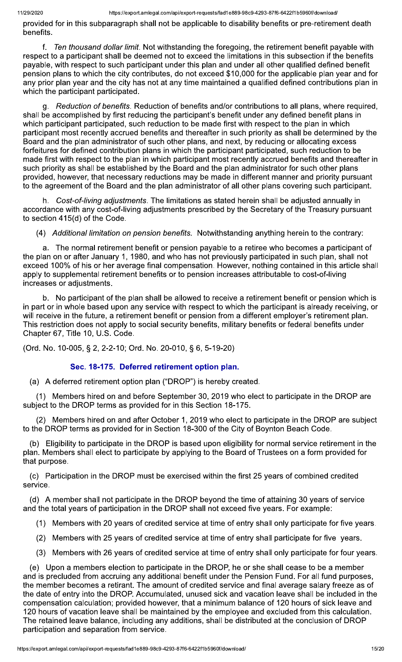provided for in this subparagraph shall not be applicable to disability benefits or pre-retirement death benefits.

f. Ten thousand dollar limit. Not withstanding the foregoing, the retirement benefit payable with respect to a participant shall be deemed not to exceed the limitations in this subsection if the benefits payable, with respect to such participant under this plan and under all other qualified defined benefit pension plans to which the city contributes, do not exceed \$10,000 for the applicable plan year and for any prior plan year and the city has not at any time maintained a qualified defined contributions plan in which the participant participated.

g. Reduction of benefits. Reduction of benefits and/or contributions to all plans, where required. shall be accomplished by first reducing the participant's benefit under any defined benefit plans in which participant participated, such reduction to be made first with respect to the plan in which participant most recently accrued benefits and thereafter in such priority as shall be determined by the Board and the plan administrator of such other plans, and next, by reducing or allocating excess forfeitures for defined contribution plans in which the participant participated, such reduction to be made first with respect to the plan in which participant most recently accrued benefits and thereafter in such priority as shall be established by the Board and the plan administrator for such other plans provided, however, that necessary reductions may be made in different manner and priority pursuant to the agreement of the Board and the plan administrator of all other plans covering such participant.

Cost-of-living adjustments. The limitations as stated herein shall be adjusted annually in accordance with any cost-of-living adjustments prescribed by the Secretary of the Treasury pursuant to section 415(d) of the Code.

(4) Additional limitation on pension benefits. Notwithstanding anything herein to the contrary:

a. The normal retirement benefit or pension payable to a retiree who becomes a participant of the plan on or after January 1, 1980, and who has not previously participated in such plan, shall not exceed 100% of his or her average final compensation. However, nothing contained in this article shall apply to supplemental retirement benefits or to pension increases attributable to cost-of-living increases or adjustments.

b. No participant of the plan shall be allowed to receive a retirement benefit or pension which is in part or in whole based upon any service with respect to which the participant is already receiving, or will receive in the future, a retirement benefit or pension from a different employer's retirement plan. This restriction does not apply to social security benefits, military benefits or federal benefits under Chapter 67, Title 10, U.S. Code.

(Ord. No. 10-005, § 2, 2-2-10; Ord. No. 20-010, § 6, 5-19-20)

### Sec. 18-175. Deferred retirement option plan.

(a) A deferred retirement option plan ("DROP") is hereby created.

(1) Members hired on and before September 30, 2019 who elect to participate in the DROP are subject to the DROP terms as provided for in this Section 18-175.

(2) Members hired on and after October 1, 2019 who elect to participate in the DROP are subject to the DROP terms as provided for in Section 18-300 of the City of Boynton Beach Code.

(b) Eligibility to participate in the DROP is based upon eligibility for normal service retirement in the plan. Members shall elect to participate by applying to the Board of Trustees on a form provided for that purpose.

(c) Participation in the DROP must be exercised within the first 25 years of combined credited service.

(d) A member shall not participate in the DROP beyond the time of attaining 30 years of service and the total years of participation in the DROP shall not exceed five years. For example:

- (1) Members with 20 years of credited service at time of entry shall only participate for five years.
- (2) Members with 25 years of credited service at time of entry shall participate for five years.
- (3) Members with 26 years of credited service at time of entry shall only participate for four years.

(e) Upon a members election to participate in the DROP, he or she shall cease to be a member and is precluded from accruing any additional benefit under the Pension Fund. For all fund purposes, the member becomes a retirant. The amount of credited service and final average salary freeze as of the date of entry into the DROP. Accumulated, unused sick and vacation leave shall be included in the compensation calculation; provided however, that a minimum balance of 120 hours of sick leave and 120 hours of vacation leave shall be maintained by the employee and excluded from this calculation. The retained leave balance, including any additions, shall be distributed at the conclusion of DROP participation and separation from service.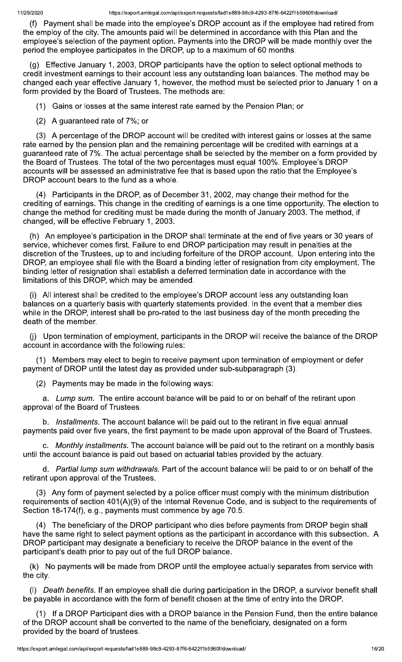(f) Payment shall be made into the employee's DROP account as if the employee had retired from the employ of the city. The amounts paid will be determined in accordance with this Plan and the employee's selection of the payment option. Payments into the DROP will be made monthly over the period the employee participates in the DROP, up to a maximum of 60 months.

(g) Effective January 1, 2003, DROP participants have the option to select optional methods to credit investment earnings to their account less any outstanding loan balances. The method may be changed each year effective January 1, however, the method must be selected prior to January 1 on a form provided by the Board of Trustees. The methods are:

(1) Gains or losses at the same interest rate earned by the Pension Plan; or

(2) A guaranteed rate of 7%; or

(3) A percentage of the DROP account will be credited with interest gains or losses at the same rate earned by the pension plan and the remaining percentage will be credited with earnings at a guaranteed rate of 7%. The actual percentage shall be selected by the member on a form provided by the Board of Trustees. The total of the two percentages must equal 100%. Employee's DROP accounts will be assessed an administrative fee that is based upon the ratio that the Employee's DROP account bears to the fund as a whole.

(4) Participants in the DROP, as of December 31, 2002, may change their method for the crediting of earnings. This change in the crediting of earnings is a one time opportunity. The election to change the method for crediting must be made during the month of January 2003. The method, if changed, will be effective February 1, 2003.

(h) An employee's participation in the DROP shall terminate at the end of five years or 30 years of service, whichever comes first. Failure to end DROP participation may result in penalties at the discretion of the Trustees, up to and including forfeiture of the DROP account. Upon entering into the DROP, an employee shall file with the Board a binding letter of resignation from city employment. The binding letter of resignation shall establish a deferred termination date in accordance with the limitations of this DROP, which may be amended.

(i) All interest shall be credited to the employee's DROP account less any outstanding loan balances on a quarterly basis with quarterly statements provided. In the event that a member dies while in the DROP, interest shall be pro-rated to the last business day of the month preceding the death of the member.

(i) Upon termination of employment, participants in the DROP will receive the balance of the DROP account in accordance with the following rules:

(1) Members may elect to begin to receive payment upon termination of employment or defer payment of DROP until the latest day as provided under sub-subparagraph (3).

(2) Payments may be made in the following ways:

a. Lump sum. The entire account balance will be paid to or on behalf of the retirant upon approval of the Board of Trustees.

b. Installments. The account balance will be paid out to the retirant in five equal annual payments paid over five years, the first payment to be made upon approval of the Board of Trustees.

c. Monthly installments. The account balance will be paid out to the retirant on a monthly basis until the account balance is paid out based on actuarial tables provided by the actuary.

d. Partial lump sum withdrawals. Part of the account balance will be paid to or on behalf of the retirant upon approval of the Trustees.

(3) Any form of payment selected by a police officer must comply with the minimum distribution requirements of section 401(A)(9) of the Internal Revenue Code, and is subject to the requirements of Section 18-174(f), e.g., payments must commence by age 70.5.

(4) The beneficiary of the DROP participant who dies before payments from DROP begin shall have the same right to select payment options as the participant in accordance with this subsection. A DROP participant may designate a beneficiary to receive the DROP balance in the event of the participant's death prior to pay out of the full DROP balance.

(k) No payments will be made from DROP until the employee actually separates from service with the city.

(I) Death benefits. If an employee shall die during participation in the DROP, a survivor benefit shall be payable in accordance with the form of benefit chosen at the time of entry into the DROP.

(1) If a DROP Participant dies with a DROP balance in the Pension Fund, then the entire balance of the DROP account shall be converted to the name of the beneficiary, designated on a form provided by the board of trustees.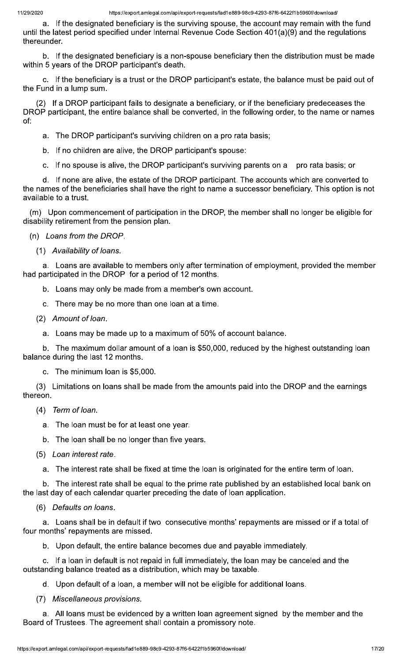a. If the designated beneficiary is the surviving spouse, the account may remain with the fund until the latest period specified under Internal Revenue Code Section 401(a)(9) and the regulations thereunder.

b. If the designated beneficiary is a non-spouse beneficiary then the distribution must be made within 5 years of the DROP participant's death.

c. If the beneficiary is a trust or the DROP participant's estate, the balance must be paid out of the Fund in a lump sum.

(2) If a DROP participant fails to designate a beneficiary, or if the beneficiary predeceases the DROP participant, the entire balance shall be converted, in the following order, to the name or names of:

a. The DROP participant's surviving children on a pro rata basis;

b. If no children are alive, the DROP participant's spouse:

c. If no spouse is alive, the DROP participant's surviving parents on a pro rata basis; or

d. If none are alive, the estate of the DROP participant. The accounts which are converted to the names of the beneficiaries shall have the right to name a successor beneficiary. This option is not available to a trust.

(m) Upon commencement of participation in the DROP, the member shall no longer be eligible for disability retirement from the pension plan.

(n) Loans from the DROP.

(1) Availability of loans.

a. Loans are available to members only after termination of employment, provided the member had participated in the DROP for a period of 12 months.

b. Loans may only be made from a member's own account.

c. There may be no more than one loan at a time.

- (2) Amount of loan.
	- a. Loans may be made up to a maximum of 50% of account balance.

b. The maximum dollar amount of a loan is \$50,000, reduced by the highest outstanding loan balance during the last 12 months.

c. The minimum loan is \$5,000.

(3) Limitations on loans shall be made from the amounts paid into the DROP and the earnings thereon.

- (4) Term of loan.
	- a. The loan must be for at least one year.
	- b. The loan shall be no longer than five years.
- (5) Loan interest rate.

a. The interest rate shall be fixed at time the loan is originated for the entire term of loan.

b. The interest rate shall be equal to the prime rate published by an established local bank on the last day of each calendar quarter preceding the date of loan application.

(6) Defaults on loans.

a. Loans shall be in default if two consecutive months' repayments are missed or if a total of four months' repayments are missed.

b. Upon default, the entire balance becomes due and payable immediately.

c. If a loan in default is not repaid in full immediately, the loan may be canceled and the outstanding balance treated as a distribution, which may be taxable.

d. Upon default of a loan, a member will not be eligible for additional loans.

(7) Miscellaneous provisions.

a. All loans must be evidenced by a written loan agreement signed by the member and the Board of Trustees. The agreement shall contain a promissory note.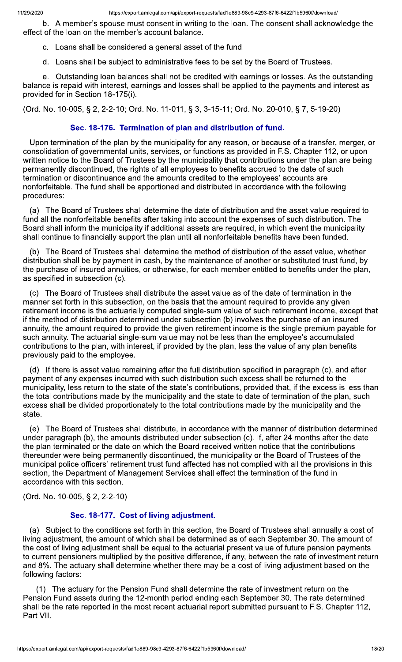b. A member's spouse must consent in writing to the loan. The consent shall acknowledge the effect of the loan on the member's account balance.

- c. Loans shall be considered a general asset of the fund.
- d. Loans shall be subject to administrative fees to be set by the Board of Trustees.

e. Outstanding loan balances shall not be credited with earnings or losses. As the outstanding balance is repaid with interest, earnings and losses shall be applied to the payments and interest as provided for in Section 18-175(i).

(Ord. No. 10-005, § 2, 2-2-10; Ord. No. 11-011, § 3, 3-15-11; Ord. No. 20-010, § 7, 5-19-20)

# Sec. 18-176. Termination of plan and distribution of fund.

Upon termination of the plan by the municipality for any reason, or because of a transfer, merger, or consolidation of governmental units, services, or functions as provided in F.S. Chapter 112, or upon written notice to the Board of Trustees by the municipality that contributions under the plan are being permanently discontinued, the rights of all employees to benefits accrued to the date of such termination or discontinuance and the amounts credited to the employees' accounts are nonforfeitable. The fund shall be apportioned and distributed in accordance with the following procedures:

(a) The Board of Trustees shall determine the date of distribution and the asset value required to fund all the nonforfeitable benefits after taking into account the expenses of such distribution. The Board shall inform the municipality if additional assets are required, in which event the municipality shall continue to financially support the plan until all nonforfeitable benefits have been funded.

(b) The Board of Trustees shall determine the method of distribution of the asset value, whether distribution shall be by payment in cash, by the maintenance of another or substituted trust fund, by the purchase of insured annuities, or otherwise, for each member entitled to benefits under the plan, as specified in subsection (c).

(c) The Board of Trustees shall distribute the asset value as of the date of termination in the manner set forth in this subsection, on the basis that the amount required to provide any given retirement income is the actuarially computed single-sum value of such retirement income, except that if the method of distribution determined under subsection (b) involves the purchase of an insured annuity, the amount required to provide the given retirement income is the single premium payable for such annuity. The actuarial single-sum value may not be less than the employee's accumulated contributions to the plan, with interest, if provided by the plan, less the value of any plan benefits previously paid to the employee.

(d) If there is asset value remaining after the full distribution specified in paragraph (c), and after payment of any expenses incurred with such distribution such excess shall be returned to the municipality, less return to the state of the state's contributions, provided that, if the excess is less than the total contributions made by the municipality and the state to date of termination of the plan, such excess shall be divided proportionately to the total contributions made by the municipality and the state.

(e) The Board of Trustees shall distribute, in accordance with the manner of distribution determined under paragraph (b), the amounts distributed under subsection (c). If, after 24 months after the date the plan terminated or the date on which the Board received written notice that the contributions thereunder were being permanently discontinued, the municipality or the Board of Trustees of the municipal police officers' retirement trust fund affected has not complied with all the provisions in this section, the Department of Management Services shall effect the termination of the fund in accordance with this section.

(Ord. No. 10-005, § 2, 2-2-10)

# Sec. 18-177. Cost of living adjustment.

(a) Subject to the conditions set forth in this section, the Board of Trustees shall annually a cost of living adjustment, the amount of which shall be determined as of each September 30. The amount of the cost of living adjustment shall be equal to the actuarial present value of future pension payments to current pensioners multiplied by the positive difference, if any, between the rate of investment return and 8%. The actuary shall determine whether there may be a cost of living adjustment based on the following factors:

(1) The actuary for the Pension Fund shall determine the rate of investment return on the Pension Fund assets during the 12-month period ending each September 30. The rate determined shall be the rate reported in the most recent actuarial report submitted pursuant to F.S. Chapter 112, Part VII.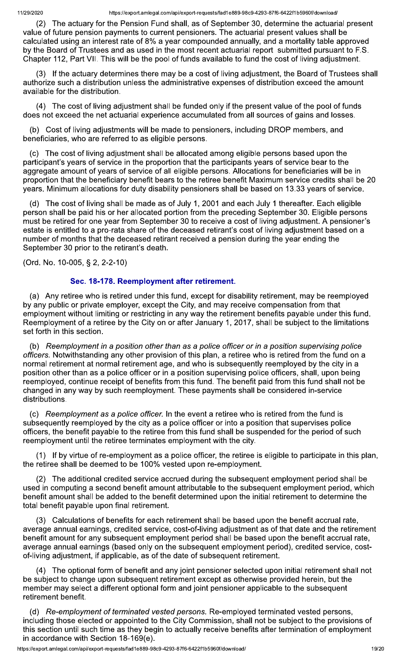(2) The actuary for the Pension Fund shall, as of September 30, determine the actuarial present value of future pension payments to current pensioners. The actuarial present values shall be calculated using an interest rate of 8% a year compounded annually, and a mortality table approved by the Board of Trustees and as used in the most recent actuarial report submitted pursuant to F.S. Chapter 112, Part VII. This will be the pool of funds available to fund the cost of living adjustment.

(3) If the actuary determines there may be a cost of living adjustment, the Board of Trustees shall authorize such a distribution unless the administrative expenses of distribution exceed the amount available for the distribution.

(4) The cost of living adjustment shall be funded only if the present value of the pool of funds does not exceed the net actuarial experience accumulated from all sources of gains and losses.

(b) Cost of living adjustments will be made to pensioners, including DROP members, and beneficiaries, who are referred to as eligible persons.

(c) The cost of living adjustment shall be allocated among eligible persons based upon the participant's years of service in the proportion that the participants years of service bear to the aggregate amount of years of service of all eligible persons. Allocations for beneficiaries will be in proportion that the beneficiary benefit bears to the retiree benefit Maximum service credits shall be 20 years. Minimum allocations for duty disability pensioners shall be based on 13.33 years of service.

The cost of living shall be made as of July 1, 2001 and each July 1 thereafter. Each eligible (d) person shall be paid his or her allocated portion from the preceding September 30. Eligible persons must be retired for one year from September 30 to receive a cost of living adjustment. A pensioner's estate is entitled to a pro-rata share of the deceased retirant's cost of living adjustment based on a number of months that the deceased retirant received a pension during the year ending the September 30 prior to the retirant's death.

(Ord. No. 10-005, § 2, 2-2-10)

# Sec. 18-178. Reemployment after retirement.

(a) Any retiree who is retired under this fund, except for disability retirement, may be reemployed by any public or private employer, except the City, and may receive compensation from that employment without limiting or restricting in any way the retirement benefits payable under this fund. Reemployment of a retiree by the City on or after January 1, 2017, shall be subject to the limitations set forth in this section.

(b) Reemployment in a position other than as a police officer or in a position supervising police officers. Notwithstanding any other provision of this plan, a retiree who is retired from the fund on a normal retirement at normal retirement age, and who is subsequently reemployed by the city in a position other than as a police officer or in a position supervising police officers, shall, upon being reemployed, continue receipt of benefits from this fund. The benefit paid from this fund shall not be changed in any way by such reemployment. These payments shall be considered in-service distributions.

(c) Reemployment as a police officer. In the event a retiree who is retired from the fund is subsequently reemployed by the city as a police officer or into a position that supervises police officers, the benefit payable to the retiree from this fund shall be suspended for the period of such reemployment until the retiree terminates employment with the city.

If by virtue of re-employment as a police officer, the retiree is eligible to participate in this plan, the retiree shall be deemed to be 100% vested upon re-employment.

(2) The additional credited service accrued during the subsequent employment period shall be used in computing a second benefit amount attributable to the subsequent employment period, which benefit amount shall be added to the benefit determined upon the initial retirement to determine the total benefit payable upon final retirement.

(3) Calculations of benefits for each retirement shall be based upon the benefit accrual rate, average annual earnings, credited service, cost-of-living adjustment as of that date and the retirement benefit amount for any subsequent employment period shall be based upon the benefit accrual rate, average annual earnings (based only on the subsequent employment period), credited service, costof-living adjustment, if applicable, as of the date of subsequent retirement.

The optional form of benefit and any joint pensioner selected upon initial retirement shall not  $(4)$ be subject to change upon subsequent retirement except as otherwise provided herein, but the member may select a different optional form and joint pensioner applicable to the subsequent retirement benefit.

(d) Re-employment of terminated vested persons. Re-employed terminated vested persons, including those elected or appointed to the City Commission, shall not be subject to the provisions of this section until such time as they begin to actually receive benefits after termination of employment in accordance with Section 18-169(e).